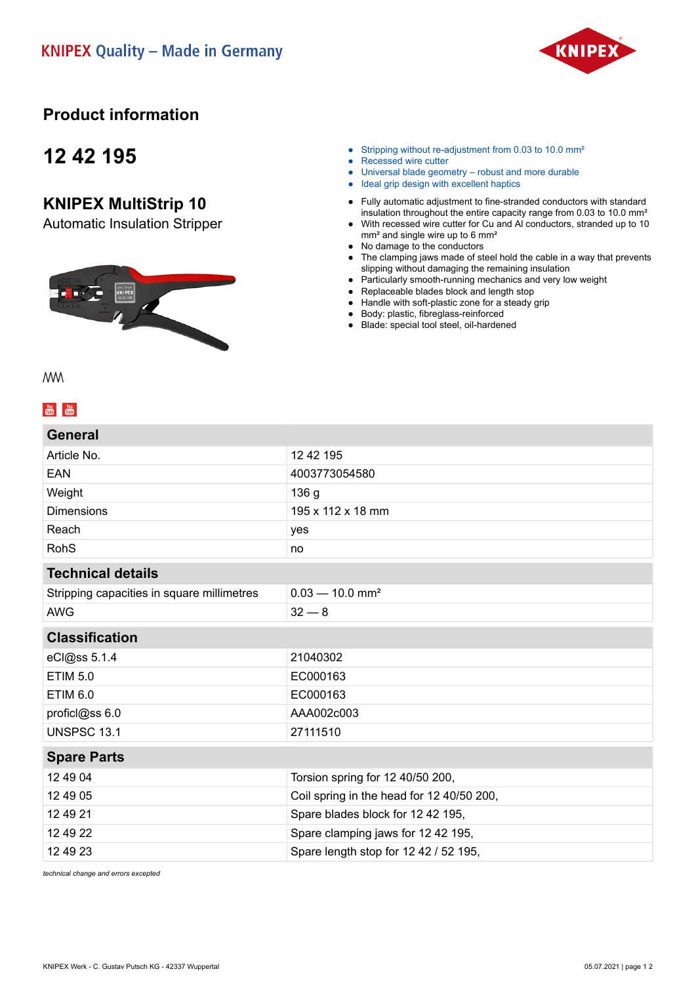

## **Product information**

## **12 42 195**

### **KNIPEX MultiStrip 10**

Automatic Insulation Stripper



- Stripping without re-adjustment from 0.03 to 10.0 mm<sup>2</sup>
- Recessed wire cutter
- Universal blade geometry robust and more durable
- Ideal grip design with excellent haptics
- Fully automatic adjustment to fine-stranded conductors with standard insulation throughout the entire capacity range from 0.03 to 10.0 mm²
- With recessed wire cutter for Cu and Al conductors, stranded up to 10 mm² and single wire up to 6 mm²
- No damage to the conductors
- The clamping jaws made of steel hold the cable in a way that prevents slipping without damaging the remaining insulation
- Particularly smooth-running mechanics and very low weight
- Replaceable blades block and length stop
- Handle with soft-plastic zone for a steady grip
- Body: plastic, fibreglass-reinforced
- Blade: special tool steel, oil-hardened

**MM** 

| General                                    |                                           |
|--------------------------------------------|-------------------------------------------|
| Article No.                                | 12 42 195                                 |
| EAN                                        | 4003773054580                             |
| Weight                                     | 136 <sub>g</sub>                          |
| <b>Dimensions</b>                          | 195 x 112 x 18 mm                         |
| Reach                                      | yes                                       |
| <b>RohS</b>                                | no                                        |
| <b>Technical details</b>                   |                                           |
| Stripping capacities in square millimetres | $0.03 - 10.0$ mm <sup>2</sup>             |
| <b>AWG</b>                                 | $32 - 8$                                  |
| <b>Classification</b>                      |                                           |
| eCl@ss 5.1.4                               | 21040302                                  |
| <b>ETIM 5.0</b>                            | EC000163                                  |
| <b>ETIM 6.0</b>                            | EC000163                                  |
| proficl@ss 6.0                             | AAA002c003                                |
| <b>UNSPSC 13.1</b>                         | 27111510                                  |
| <b>Spare Parts</b>                         |                                           |
| 12 49 04                                   | Torsion spring for 12 40/50 200,          |
| 12 49 05                                   | Coil spring in the head for 12 40/50 200, |
| 12 49 21                                   | Spare blades block for 12 42 195,         |
| 12 49 22                                   | Spare clamping jaws for 12 42 195,        |
| 12 49 23                                   | Spare length stop for 12 42 / 52 195,     |

*technical change and errors excepted*